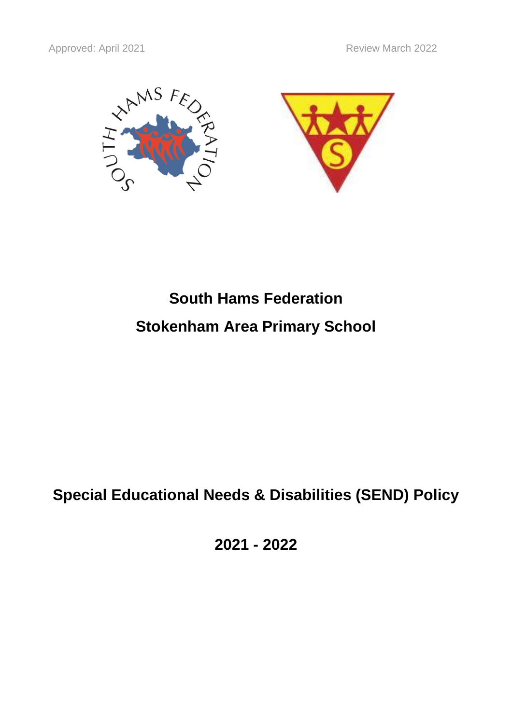

# **South Hams Federation Stokenham Area Primary School**

# **Special Educational Needs & Disabilities (SEND) Policy**

**2021 - 2022**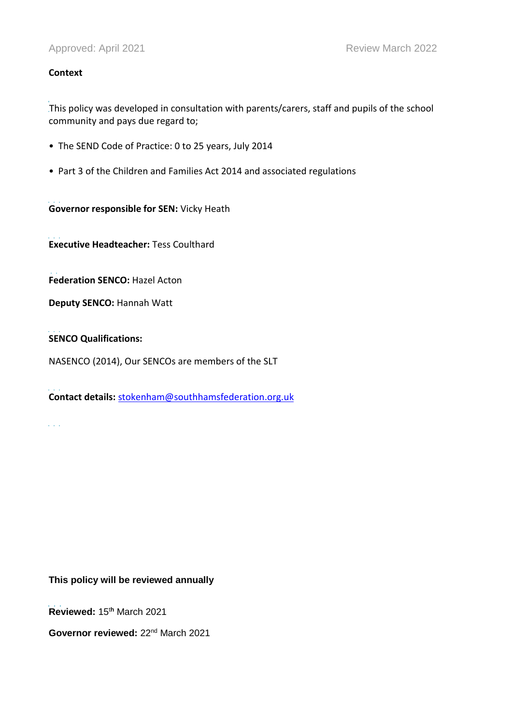#### **Context**

i<br>S This policy was developed in consultation with parents/carers, staff and pupils of the school community and pays due regard to;

- The SEND Code of Practice: 0 to 25 years, July 2014
- Part 3 of the Children and Families Act 2014 and associated regulations

i<br>I **Governor responsible for SEN:** Vicky Heath

i<br>I **Executive Headteacher:** Tess Coulthard

i<br>İ **Federation SENCO:** Hazel Acton

**Deputy SENCO:** Hannah Watt

i<br>İ **SENCO Qualifications:**

 $\mathcal{L}^{\pm}$  and  $\mathcal{L}^{\pm}$ 

NASENCO (2014), Our SENCOs are members of the SLT

i<br>I **Contact details:** [stokenham@southhamsfederation.org.uk](mailto:stokenham@southhamsfederation.org.uk)

**This policy will be reviewed annually**

j. **Reviewed:** 15 <sup>t</sup>**<sup>h</sup>** March 2021

Governor reviewed: 22<sup>nd</sup> March 2021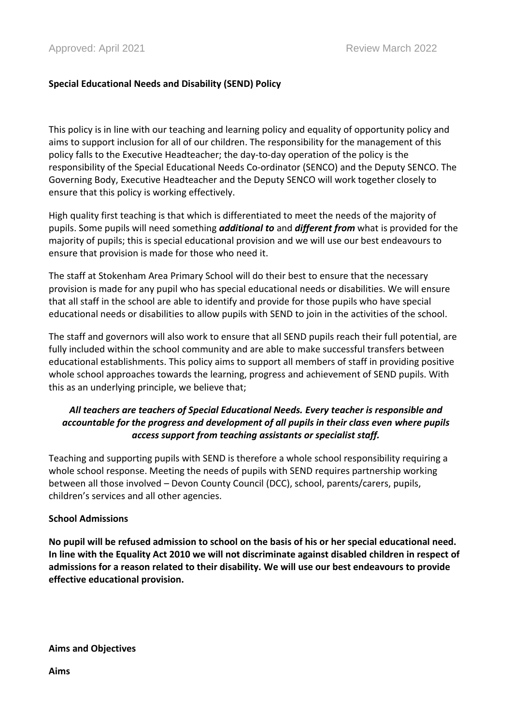# **Special Educational Needs and Disability (SEND) Policy**

This policy is in line with our teaching and learning policy and equality of opportunity policy and aims to support inclusion for all of our children. The responsibility for the management of this policy falls to the Executive Headteacher; the day-to-day operation of the policy is the responsibility of the Special Educational Needs Co-ordinator (SENCO) and the Deputy SENCO. The Governing Body, Executive Headteacher and the Deputy SENCO will work together closely to ensure that this policy is working effectively.

High quality first teaching is that which is differentiated to meet the needs of the majority of pupils. Some pupils will need something *additional to* and *different from* what is provided for the majority of pupils; this is special educational provision and we will use our best endeavours to ensure that provision is made for those who need it.

The staff at Stokenham Area Primary School will do their best to ensure that the necessary provision is made for any pupil who has special educational needs or disabilities. We will ensure that all staff in the school are able to identify and provide for those pupils who have special educational needs or disabilities to allow pupils with SEND to join in the activities of the school.

The staff and governors will also work to ensure that all SEND pupils reach their full potential, are fully included within the school community and are able to make successful transfers between educational establishments. This policy aims to support all members of staff in providing positive whole school approaches towards the learning, progress and achievement of SEND pupils. With this as an underlying principle, we believe that;

# *All teachers are teachers of Special Educational Needs. Every teacher is responsible and accountable for the progress and development of all pupils in their class even where pupils access support from teaching assistants or specialist staff.*

Teaching and supporting pupils with SEND is therefore a whole school responsibility requiring a whole school response. Meeting the needs of pupils with SEND requires partnership working between all those involved – Devon County Council (DCC), school, parents/carers, pupils, children's services and all other agencies.

#### **School Admissions**

**No pupil will be refused admission to school on the basis of his or her special educational need. In line with the Equality Act 2010 we will not discriminate against disabled children in respect of admissions for a reason related to their disability. We will use our best endeavours to provide effective educational provision.**

**Aims and Objectives**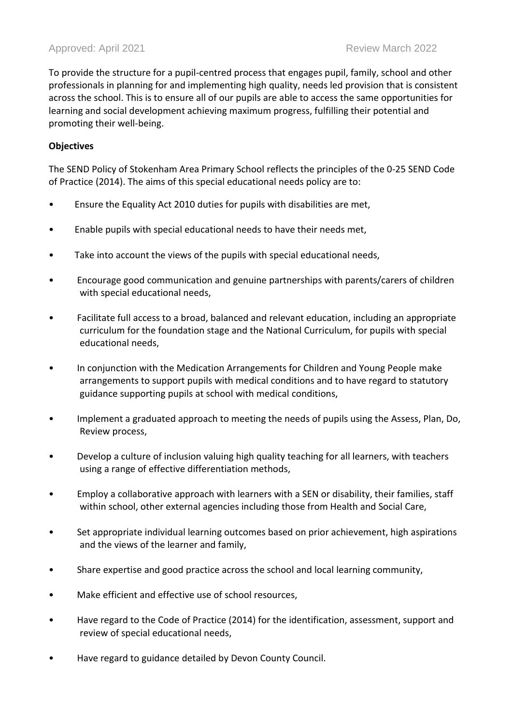## Approved: April 2021 **Review March 2022** Review March 2022

To provide the structure for a pupil-centred process that engages pupil, family, school and other professionals in planning for and implementing high quality, needs led provision that is consistent across the school. This is to ensure all of our pupils are able to access the same opportunities for learning and social development achieving maximum progress, fulfilling their potential and promoting their well-being.

#### **Objectives**

The SEND Policy of Stokenham Area Primary School reflects the principles of the 0-25 SEND Code of Practice (2014). The aims of this special educational needs policy are to:

- Ensure the Equality Act 2010 duties for pupils with disabilities are met,
- Enable pupils with special educational needs to have their needs met,
- Take into account the views of the pupils with special educational needs,
- Encourage good communication and genuine partnerships with parents/carers of children with special educational needs,
- Facilitate full access to a broad, balanced and relevant education, including an appropriate curriculum for the foundation stage and the National Curriculum, for pupils with special educational needs,
- In conjunction with the Medication Arrangements for Children and Young People make arrangements to support pupils with medical conditions and to have regard to statutory guidance supporting pupils at school with medical conditions,
- Implement a graduated approach to meeting the needs of pupils using the Assess, Plan, Do, Review process,
- Develop a culture of inclusion valuing high quality teaching for all learners, with teachers using a range of effective differentiation methods,
- Employ a collaborative approach with learners with a SEN or disability, their families, staff within school, other external agencies including those from Health and Social Care,
- Set appropriate individual learning outcomes based on prior achievement, high aspirations and the views of the learner and family,
- Share expertise and good practice across the school and local learning community,
- Make efficient and effective use of school resources,
- Have regard to the Code of Practice (2014) for the identification, assessment, support and review of special educational needs,
- Have regard to guidance detailed by Devon County Council.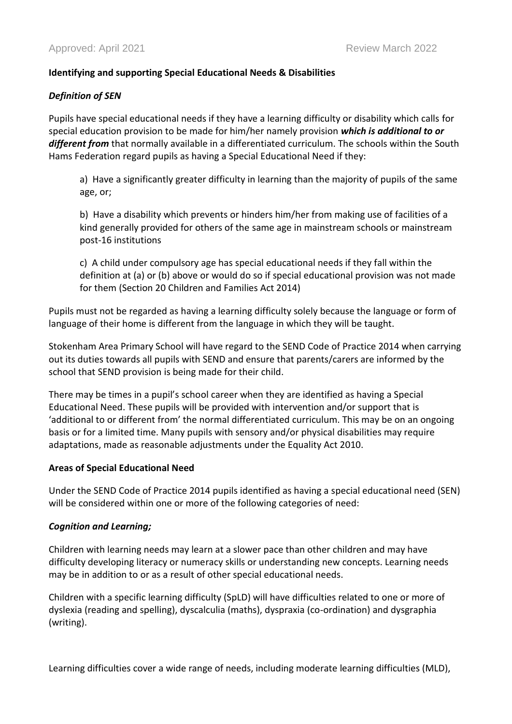# **Identifying and supporting Special Educational Needs & Disabilities**

#### *Definition of SEN*

Pupils have special educational needs if they have a learning difficulty or disability which calls for special education provision to be made for him/her namely provision *which is additional to or different from* that normally available in a differentiated curriculum. The schools within the South Hams Federation regard pupils as having a Special Educational Need if they:

a) Have a significantly greater difficulty in learning than the majority of pupils of the same age, or;

b) Have a disability which prevents or hinders him/her from making use of facilities of a kind generally provided for others of the same age in mainstream schools or mainstream post-16 institutions

c) A child under compulsory age has special educational needs if they fall within the definition at (a) or (b) above or would do so if special educational provision was not made for them (Section 20 Children and Families Act 2014)

Pupils must not be regarded as having a learning difficulty solely because the language or form of language of their home is different from the language in which they will be taught.

Stokenham Area Primary School will have regard to the SEND Code of Practice 2014 when carrying out its duties towards all pupils with SEND and ensure that parents/carers are informed by the school that SEND provision is being made for their child.

There may be times in a pupil's school career when they are identified as having a Special Educational Need. These pupils will be provided with intervention and/or support that is 'additional to or different from' the normal differentiated curriculum. This may be on an ongoing basis or for a limited time. Many pupils with sensory and/or physical disabilities may require adaptations, made as reasonable adjustments under the Equality Act 2010.

#### **Areas of Special Educational Need**

Under the SEND Code of Practice 2014 pupils identified as having a special educational need (SEN) will be considered within one or more of the following categories of need:

#### *Cognition and Learning;*

Children with learning needs may learn at a slower pace than other children and may have difficulty developing literacy or numeracy skills or understanding new concepts. Learning needs may be in addition to or as a result of other special educational needs.

Children with a specific learning difficulty (SpLD) will have difficulties related to one or more of dyslexia (reading and spelling), dyscalculia (maths), dyspraxia (co-ordination) and dysgraphia (writing).

Learning difficulties cover a wide range of needs, including moderate learning difficulties (MLD),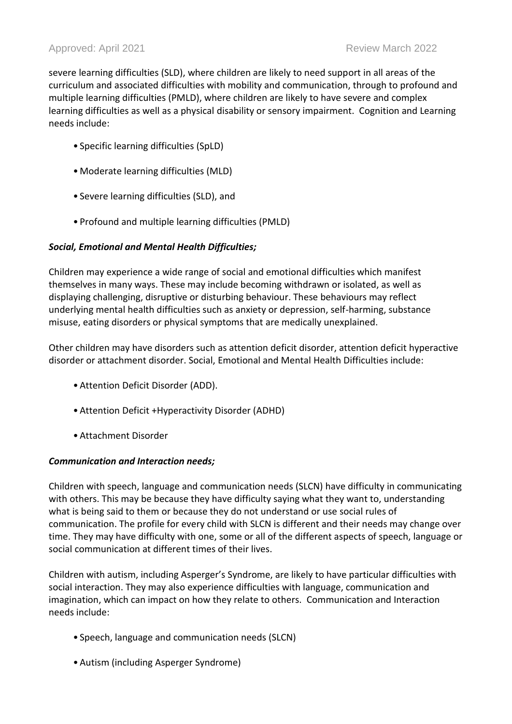severe learning difficulties (SLD), where children are likely to need support in all areas of the curriculum and associated difficulties with mobility and communication, through to profound and multiple learning difficulties (PMLD), where children are likely to have severe and complex learning difficulties as well as a physical disability or sensory impairment. Cognition and Learning needs include:

- Specific learning difficulties (SpLD)
- •Moderate learning difficulties (MLD)
- Severe learning difficulties (SLD), and
- Profound and multiple learning difficulties (PMLD)

# *Social, Emotional and Mental Health Difficulties;*

Children may experience a wide range of social and emotional difficulties which manifest themselves in many ways. These may include becoming withdrawn or isolated, as well as displaying challenging, disruptive or disturbing behaviour. These behaviours may reflect underlying mental health difficulties such as anxiety or depression, self-harming, substance misuse, eating disorders or physical symptoms that are medically unexplained.

Other children may have disorders such as attention deficit disorder, attention deficit hyperactive disorder or attachment disorder. Social, Emotional and Mental Health Difficulties include:

- •Attention Deficit Disorder (ADD).
- •Attention Deficit +Hyperactivity Disorder (ADHD)
- •Attachment Disorder

#### *Communication and Interaction needs;*

Children with speech, language and communication needs (SLCN) have difficulty in communicating with others. This may be because they have difficulty saying what they want to, understanding what is being said to them or because they do not understand or use social rules of communication. The profile for every child with SLCN is different and their needs may change over time. They may have difficulty with one, some or all of the different aspects of speech, language or social communication at different times of their lives.

Children with autism, including Asperger's Syndrome, are likely to have particular difficulties with social interaction. They may also experience difficulties with language, communication and imagination, which can impact on how they relate to others. Communication and Interaction needs include:

- Speech, language and communication needs (SLCN)
- •Autism (including Asperger Syndrome)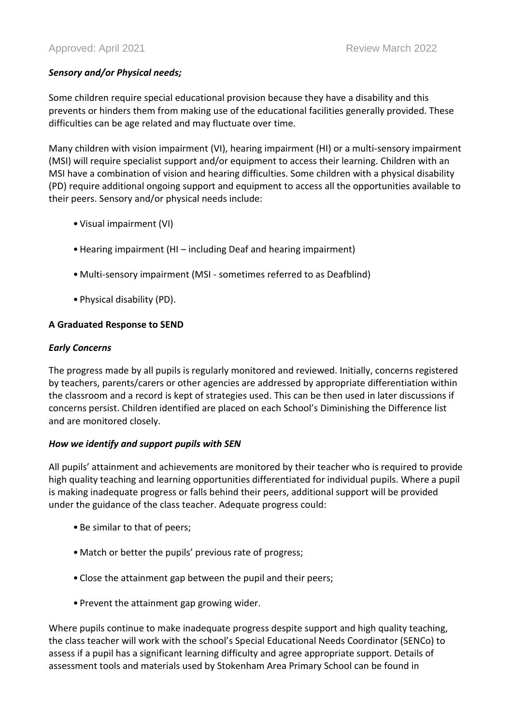# *Sensory and/or Physical needs;*

Some children require special educational provision because they have a disability and this prevents or hinders them from making use of the educational facilities generally provided. These difficulties can be age related and may fluctuate over time.

Many children with vision impairment (VI), hearing impairment (HI) or a multi-sensory impairment (MSI) will require specialist support and/or equipment to access their learning. Children with an MSI have a combination of vision and hearing difficulties. Some children with a physical disability (PD) require additional ongoing support and equipment to access all the opportunities available to their peers. Sensory and/or physical needs include:

- Visual impairment (VI)
- •Hearing impairment (HI including Deaf and hearing impairment)
- •Multi-sensory impairment (MSI sometimes referred to as Deafblind)
- Physical disability (PD).

#### **A Graduated Response to SEND**

#### *Early Concerns*

The progress made by all pupils is regularly monitored and reviewed. Initially, concerns registered by teachers, parents/carers or other agencies are addressed by appropriate differentiation within the classroom and a record is kept of strategies used. This can be then used in later discussions if concerns persist. Children identified are placed on each School's Diminishing the Difference list and are monitored closely.

#### *How we identify and support pupils with SEN*

All pupils' attainment and achievements are monitored by their teacher who is required to provide high quality teaching and learning opportunities differentiated for individual pupils. Where a pupil is making inadequate progress or falls behind their peers, additional support will be provided under the guidance of the class teacher. Adequate progress could:

- Be similar to that of peers;
- •Match or better the pupils' previous rate of progress;
- Close the attainment gap between the pupil and their peers;
- Prevent the attainment gap growing wider.

Where pupils continue to make inadequate progress despite support and high quality teaching, the class teacher will work with the school's Special Educational Needs Coordinator (SENCo) to assess if a pupil has a significant learning difficulty and agree appropriate support. Details of assessment tools and materials used by Stokenham Area Primary School can be found in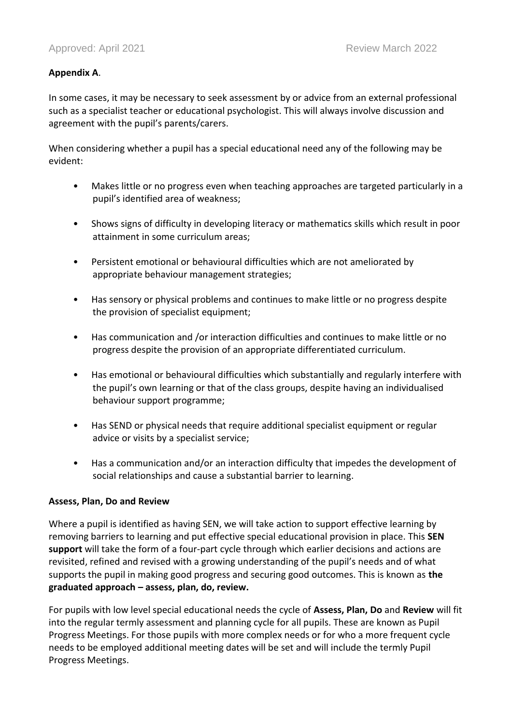# **Appendix A**.

In some cases, it may be necessary to seek assessment by or advice from an external professional such as a specialist teacher or educational psychologist. This will always involve discussion and agreement with the pupil's parents/carers.

When considering whether a pupil has a special educational need any of the following may be evident:

- Makes little or no progress even when teaching approaches are targeted particularly in a pupil's identified area of weakness;
- Shows signs of difficulty in developing literacy or mathematics skills which result in poor attainment in some curriculum areas;
- Persistent emotional or behavioural difficulties which are not ameliorated by appropriate behaviour management strategies;
- Has sensory or physical problems and continues to make little or no progress despite the provision of specialist equipment;
- Has communication and /or interaction difficulties and continues to make little or no progress despite the provision of an appropriate differentiated curriculum.
- Has emotional or behavioural difficulties which substantially and regularly interfere with the pupil's own learning or that of the class groups, despite having an individualised behaviour support programme;
- Has SEND or physical needs that require additional specialist equipment or regular advice or visits by a specialist service;
- Has a communication and/or an interaction difficulty that impedes the development of social relationships and cause a substantial barrier to learning.

#### **Assess, Plan, Do and Review**

Where a pupil is identified as having SEN, we will take action to support effective learning by removing barriers to learning and put effective special educational provision in place. This **SEN support** will take the form of a four-part cycle through which earlier decisions and actions are revisited, refined and revised with a growing understanding of the pupil's needs and of what supports the pupil in making good progress and securing good outcomes. This is known as **the graduated approach – assess, plan, do, review.**

For pupils with low level special educational needs the cycle of **Assess, Plan, Do** and **Review** will fit into the regular termly assessment and planning cycle for all pupils. These are known as Pupil Progress Meetings. For those pupils with more complex needs or for who a more frequent cycle needs to be employed additional meeting dates will be set and will include the termly Pupil Progress Meetings.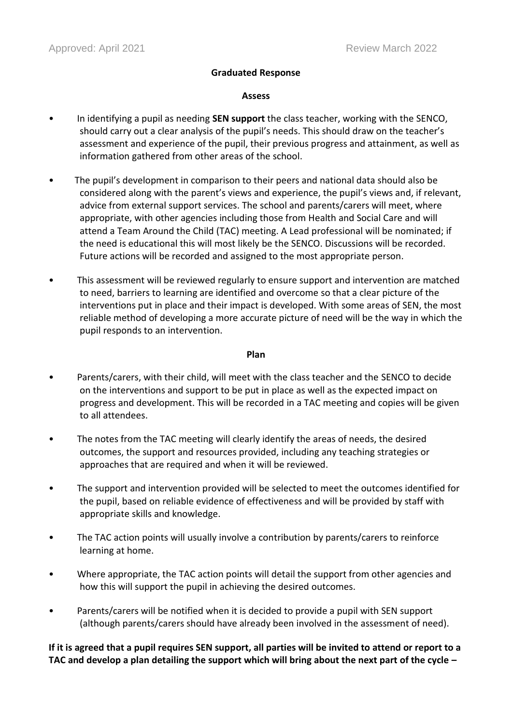#### **Graduated Response**

#### **Assess**

- In identifying a pupil as needing **SEN support** the class teacher, working with the SENCO, should carry out a clear analysis of the pupil's needs. This should draw on the teacher's assessment and experience of the pupil, their previous progress and attainment, as well as information gathered from other areas of the school.
- The pupil's development in comparison to their peers and national data should also be considered along with the parent's views and experience, the pupil's views and, if relevant, advice from external support services. The school and parents/carers will meet, where appropriate, with other agencies including those from Health and Social Care and will attend a Team Around the Child (TAC) meeting. A Lead professional will be nominated; if the need is educational this will most likely be the SENCO. Discussions will be recorded. Future actions will be recorded and assigned to the most appropriate person.
- This assessment will be reviewed regularly to ensure support and intervention are matched to need, barriers to learning are identified and overcome so that a clear picture of the interventions put in place and their impact is developed. With some areas of SEN, the most reliable method of developing a more accurate picture of need will be the way in which the pupil responds to an intervention.

#### **Plan**

- Parents/carers, with their child, will meet with the class teacher and the SENCO to decide on the interventions and support to be put in place as well as the expected impact on progress and development. This will be recorded in a TAC meeting and copies will be given to all attendees.
- The notes from the TAC meeting will clearly identify the areas of needs, the desired outcomes, the support and resources provided, including any teaching strategies or approaches that are required and when it will be reviewed.
- The support and intervention provided will be selected to meet the outcomes identified for the pupil, based on reliable evidence of effectiveness and will be provided by staff with appropriate skills and knowledge.
- The TAC action points will usually involve a contribution by parents/carers to reinforce learning at home.
- Where appropriate, the TAC action points will detail the support from other agencies and how this will support the pupil in achieving the desired outcomes.
- Parents/carers will be notified when it is decided to provide a pupil with SEN support (although parents/carers should have already been involved in the assessment of need).

**If it is agreed that a pupil requires SEN support, all parties will be invited to attend or report to a TAC and develop a plan detailing the support which will bring about the next part of the cycle –**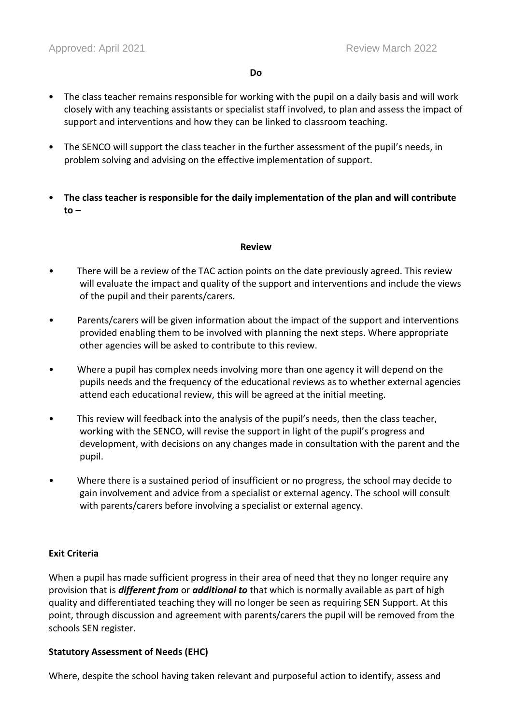- The class teacher remains responsible for working with the pupil on a daily basis and will work closely with any teaching assistants or specialist staff involved, to plan and assess the impact of support and interventions and how they can be linked to classroom teaching.
- The SENCO will support the class teacher in the further assessment of the pupil's needs, in problem solving and advising on the effective implementation of support.
- **The class teacher is responsible for the daily implementation of the plan and will contribute to –**

#### **Review**

- There will be a review of the TAC action points on the date previously agreed. This review will evaluate the impact and quality of the support and interventions and include the views of the pupil and their parents/carers.
- Parents/carers will be given information about the impact of the support and interventions provided enabling them to be involved with planning the next steps. Where appropriate other agencies will be asked to contribute to this review.
- Where a pupil has complex needs involving more than one agency it will depend on the pupils needs and the frequency of the educational reviews as to whether external agencies attend each educational review, this will be agreed at the initial meeting.
- This review will feedback into the analysis of the pupil's needs, then the class teacher, working with the SENCO, will revise the support in light of the pupil's progress and development, with decisions on any changes made in consultation with the parent and the pupil.
- Where there is a sustained period of insufficient or no progress, the school may decide to gain involvement and advice from a specialist or external agency. The school will consult with parents/carers before involving a specialist or external agency.

#### **Exit Criteria**

When a pupil has made sufficient progress in their area of need that they no longer require any provision that is *different from* or *additional to* that which is normally available as part of high quality and differentiated teaching they will no longer be seen as requiring SEN Support. At this point, through discussion and agreement with parents/carers the pupil will be removed from the schools SEN register.

#### **Statutory Assessment of Needs (EHC)**

Where, despite the school having taken relevant and purposeful action to identify, assess and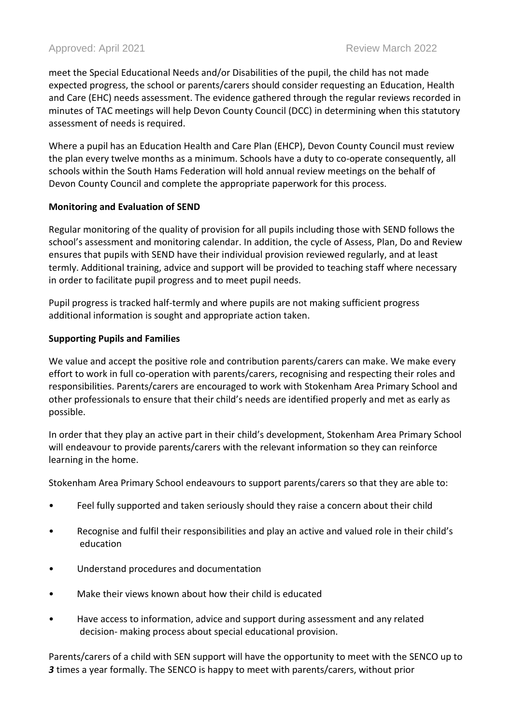meet the Special Educational Needs and/or Disabilities of the pupil, the child has not made expected progress, the school or parents/carers should consider requesting an Education, Health and Care (EHC) needs assessment. The evidence gathered through the regular reviews recorded in minutes of TAC meetings will help Devon County Council (DCC) in determining when this statutory assessment of needs is required.

Where a pupil has an Education Health and Care Plan (EHCP), Devon County Council must review the plan every twelve months as a minimum. Schools have a duty to co-operate consequently, all schools within the South Hams Federation will hold annual review meetings on the behalf of Devon County Council and complete the appropriate paperwork for this process.

# **Monitoring and Evaluation of SEND**

Regular monitoring of the quality of provision for all pupils including those with SEND follows the school's assessment and monitoring calendar. In addition, the cycle of Assess, Plan, Do and Review ensures that pupils with SEND have their individual provision reviewed regularly, and at least termly. Additional training, advice and support will be provided to teaching staff where necessary in order to facilitate pupil progress and to meet pupil needs.

Pupil progress is tracked half-termly and where pupils are not making sufficient progress additional information is sought and appropriate action taken.

# **Supporting Pupils and Families**

We value and accept the positive role and contribution parents/carers can make. We make every effort to work in full co-operation with parents/carers, recognising and respecting their roles and responsibilities. Parents/carers are encouraged to work with Stokenham Area Primary School and other professionals to ensure that their child's needs are identified properly and met as early as possible.

In order that they play an active part in their child's development, Stokenham Area Primary School will endeavour to provide parents/carers with the relevant information so they can reinforce learning in the home.

Stokenham Area Primary School endeavours to support parents/carers so that they are able to:

- Feel fully supported and taken seriously should they raise a concern about their child
- Recognise and fulfil their responsibilities and play an active and valued role in their child's education
- Understand procedures and documentation
- Make their views known about how their child is educated
- Have access to information, advice and support during assessment and any related decision- making process about special educational provision.

Parents/carers of a child with SEN support will have the opportunity to meet with the SENCO up to *3* times a year formally. The SENCO is happy to meet with parents/carers, without prior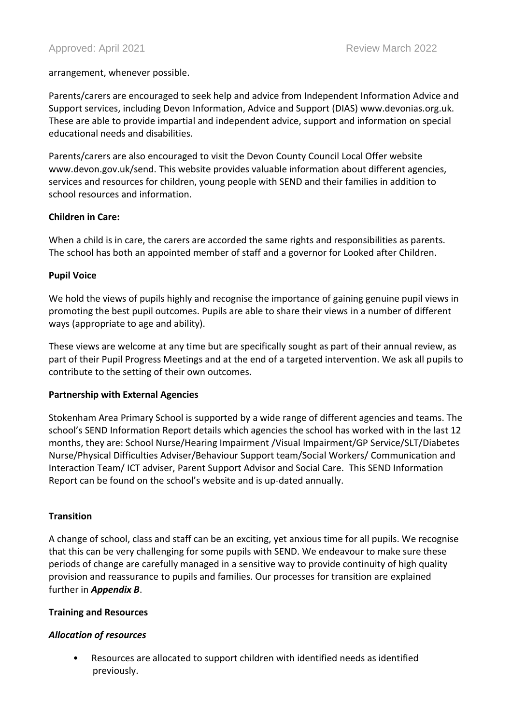#### arrangement, whenever possible.

Parents/carers are encouraged to seek help and advice from Independent Information Advice and Support services, including Devon Information, Advice and Support (DIAS) www.devonias.org.uk. These are able to provide impartial and independent advice, support and information on special educational needs and disabilities.

Parents/carers are also encouraged to visit the Devon County Council Local Offer website www.devon.gov.uk/send. This website provides valuable information about different agencies, services and resources for children, young people with SEND and their families in addition to school resources and information.

# **Children in Care:**

When a child is in care, the carers are accorded the same rights and responsibilities as parents. The school has both an appointed member of staff and a governor for Looked after Children.

# **Pupil Voice**

We hold the views of pupils highly and recognise the importance of gaining genuine pupil views in promoting the best pupil outcomes. Pupils are able to share their views in a number of different ways (appropriate to age and ability).

These views are welcome at any time but are specifically sought as part of their annual review, as part of their Pupil Progress Meetings and at the end of a targeted intervention. We ask all pupils to contribute to the setting of their own outcomes.

#### **Partnership with External Agencies**

Stokenham Area Primary School is supported by a wide range of different agencies and teams. The school's SEND Information Report details which agencies the school has worked with in the last 12 months, they are: School Nurse/Hearing Impairment /Visual Impairment/GP Service/SLT/Diabetes Nurse/Physical Difficulties Adviser/Behaviour Support team/Social Workers/ Communication and Interaction Team/ ICT adviser, Parent Support Advisor and Social Care. This SEND Information Report can be found on the school's website and is up-dated annually.

#### **Transition**

A change of school, class and staff can be an exciting, yet anxious time for all pupils. We recognise that this can be very challenging for some pupils with SEND. We endeavour to make sure these periods of change are carefully managed in a sensitive way to provide continuity of high quality provision and reassurance to pupils and families. Our processes for transition are explained further in *Appendix B*.

#### **Training and Resources**

# *Allocation of resources*

• Resources are allocated to support children with identified needs as identified previously.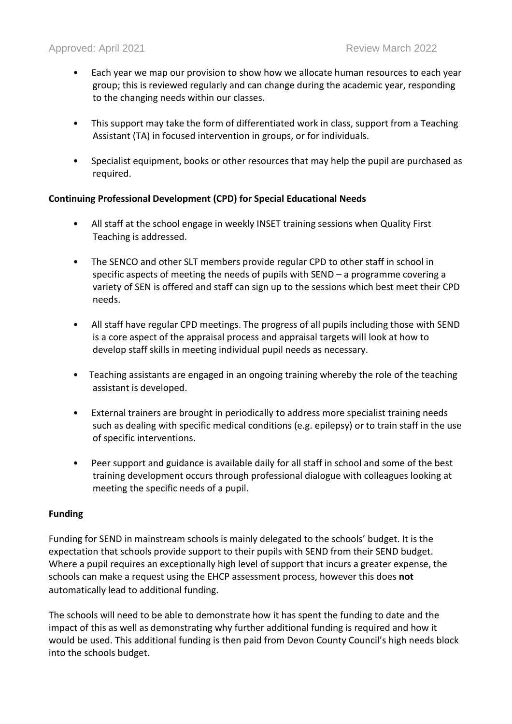- Each year we map our provision to show how we allocate human resources to each year group; this is reviewed regularly and can change during the academic year, responding to the changing needs within our classes.
- This support may take the form of differentiated work in class, support from a Teaching Assistant (TA) in focused intervention in groups, or for individuals.
- Specialist equipment, books or other resources that may help the pupil are purchased as required.

#### **Continuing Professional Development (CPD) for Special Educational Needs**

- All staff at the school engage in weekly INSET training sessions when Quality First Teaching is addressed.
- The SENCO and other SLT members provide regular CPD to other staff in school in specific aspects of meeting the needs of pupils with SEND – a programme covering a variety of SEN is offered and staff can sign up to the sessions which best meet their CPD needs.
- All staff have regular CPD meetings. The progress of all pupils including those with SEND is a core aspect of the appraisal process and appraisal targets will look at how to develop staff skills in meeting individual pupil needs as necessary.
- Teaching assistants are engaged in an ongoing training whereby the role of the teaching assistant is developed.
- External trainers are brought in periodically to address more specialist training needs such as dealing with specific medical conditions (e.g. epilepsy) or to train staff in the use of specific interventions.
- Peer support and guidance is available daily for all staff in school and some of the best training development occurs through professional dialogue with colleagues looking at meeting the specific needs of a pupil.

#### **Funding**

Funding for SEND in mainstream schools is mainly delegated to the schools' budget. It is the expectation that schools provide support to their pupils with SEND from their SEND budget. Where a pupil requires an exceptionally high level of support that incurs a greater expense, the schools can make a request using the EHCP assessment process, however this does **not** automatically lead to additional funding.

The schools will need to be able to demonstrate how it has spent the funding to date and the impact of this as well as demonstrating why further additional funding is required and how it would be used. This additional funding is then paid from Devon County Council's high needs block into the schools budget.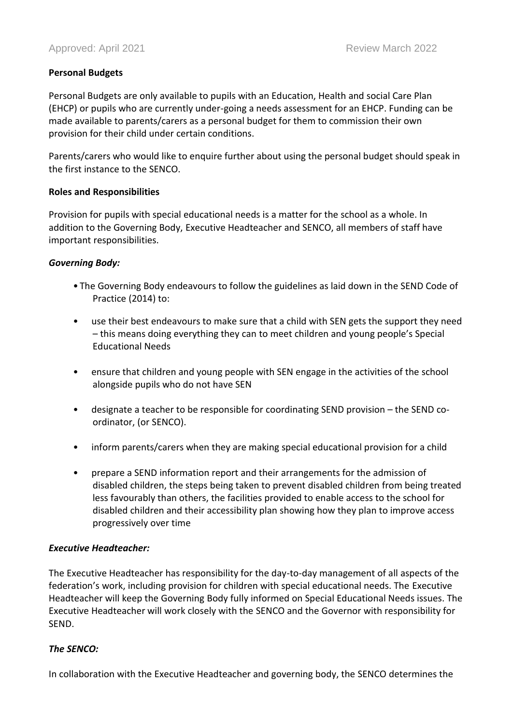#### **Personal Budgets**

Personal Budgets are only available to pupils with an Education, Health and social Care Plan (EHCP) or pupils who are currently under-going a needs assessment for an EHCP. Funding can be made available to parents/carers as a personal budget for them to commission their own provision for their child under certain conditions.

Parents/carers who would like to enquire further about using the personal budget should speak in the first instance to the SENCO.

#### **Roles and Responsibilities**

Provision for pupils with special educational needs is a matter for the school as a whole. In addition to the Governing Body, Executive Headteacher and SENCO, all members of staff have important responsibilities.

#### *Governing Body:*

- The Governing Body endeavours to follow the guidelines as laid down in the SEND Code of Practice (2014) to:
- use their best endeavours to make sure that a child with SEN gets the support they need – this means doing everything they can to meet children and young people's Special Educational Needs
- ensure that children and young people with SEN engage in the activities of the school alongside pupils who do not have SEN
- designate a teacher to be responsible for coordinating SEND provision the SEND coordinator, (or SENCO).
- inform parents/carers when they are making special educational provision for a child
- prepare a SEND information report and their arrangements for the admission of disabled children, the steps being taken to prevent disabled children from being treated less favourably than others, the facilities provided to enable access to the school for disabled children and their accessibility plan showing how they plan to improve access progressively over time

#### *Executive Headteacher:*

The Executive Headteacher has responsibility for the day-to-day management of all aspects of the federation's work, including provision for children with special educational needs. The Executive Headteacher will keep the Governing Body fully informed on Special Educational Needs issues. The Executive Headteacher will work closely with the SENCO and the Governor with responsibility for SEND.

#### *The SENCO:*

In collaboration with the Executive Headteacher and governing body, the SENCO determines the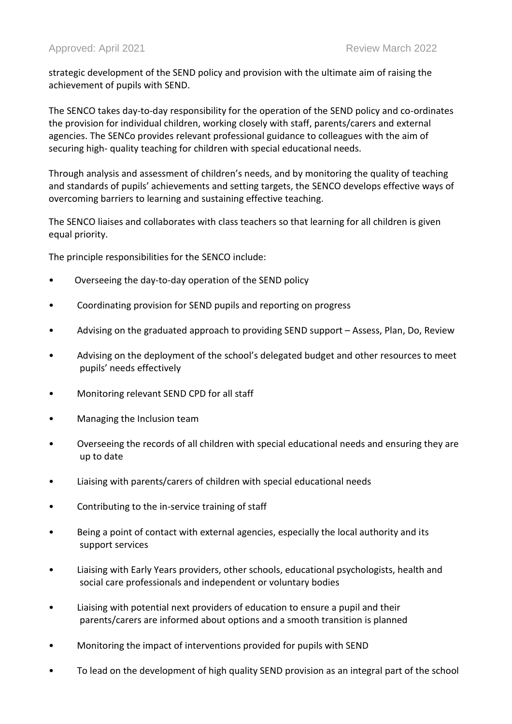strategic development of the SEND policy and provision with the ultimate aim of raising the achievement of pupils with SEND.

The SENCO takes day-to-day responsibility for the operation of the SEND policy and co-ordinates the provision for individual children, working closely with staff, parents/carers and external agencies. The SENCo provides relevant professional guidance to colleagues with the aim of securing high- quality teaching for children with special educational needs.

Through analysis and assessment of children's needs, and by monitoring the quality of teaching and standards of pupils' achievements and setting targets, the SENCO develops effective ways of overcoming barriers to learning and sustaining effective teaching.

The SENCO liaises and collaborates with class teachers so that learning for all children is given equal priority.

The principle responsibilities for the SENCO include:

- Overseeing the day-to-day operation of the SEND policy
- Coordinating provision for SEND pupils and reporting on progress
- Advising on the graduated approach to providing SEND support Assess, Plan, Do, Review
- Advising on the deployment of the school's delegated budget and other resources to meet pupils' needs effectively
- Monitoring relevant SEND CPD for all staff
- Managing the Inclusion team
- Overseeing the records of all children with special educational needs and ensuring they are up to date
- Liaising with parents/carers of children with special educational needs
- Contributing to the in-service training of staff
- Being a point of contact with external agencies, especially the local authority and its support services
- Liaising with Early Years providers, other schools, educational psychologists, health and social care professionals and independent or voluntary bodies
- Liaising with potential next providers of education to ensure a pupil and their parents/carers are informed about options and a smooth transition is planned
- Monitoring the impact of interventions provided for pupils with SEND
- To lead on the development of high quality SEND provision as an integral part of the school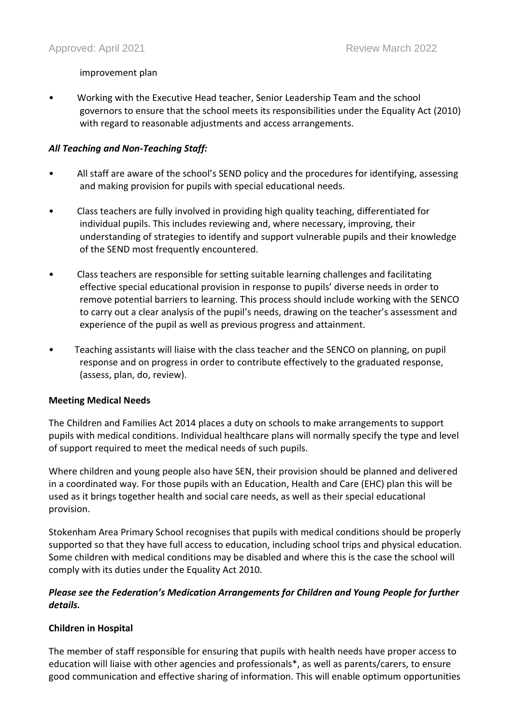#### improvement plan

• Working with the Executive Head teacher, Senior Leadership Team and the school governors to ensure that the school meets its responsibilities under the Equality Act (2010) with regard to reasonable adjustments and access arrangements.

## *All Teaching and Non-Teaching Staff:*

- All staff are aware of the school's SEND policy and the procedures for identifying, assessing and making provision for pupils with special educational needs.
- Class teachers are fully involved in providing high quality teaching, differentiated for individual pupils. This includes reviewing and, where necessary, improving, their understanding of strategies to identify and support vulnerable pupils and their knowledge of the SEND most frequently encountered.
- Class teachers are responsible for setting suitable learning challenges and facilitating effective special educational provision in response to pupils' diverse needs in order to remove potential barriers to learning. This process should include working with the SENCO to carry out a clear analysis of the pupil's needs, drawing on the teacher's assessment and experience of the pupil as well as previous progress and attainment.
- Teaching assistants will liaise with the class teacher and the SENCO on planning, on pupil response and on progress in order to contribute effectively to the graduated response, (assess, plan, do, review).

#### **Meeting Medical Needs**

The Children and Families Act 2014 places a duty on schools to make arrangements to support pupils with medical conditions. Individual healthcare plans will normally specify the type and level of support required to meet the medical needs of such pupils.

Where children and young people also have SEN, their provision should be planned and delivered in a coordinated way. For those pupils with an Education, Health and Care (EHC) plan this will be used as it brings together health and social care needs, as well as their special educational provision.

Stokenham Area Primary School recognises that pupils with medical conditions should be properly supported so that they have full access to education, including school trips and physical education. Some children with medical conditions may be disabled and where this is the case the school will comply with its duties under the Equality Act 2010.

# *Please see the Federation's Medication Arrangements for Children and Young People for further details.*

#### **Children in Hospital**

The member of staff responsible for ensuring that pupils with health needs have proper access to education will liaise with other agencies and professionals\*, as well as parents/carers, to ensure good communication and effective sharing of information. This will enable optimum opportunities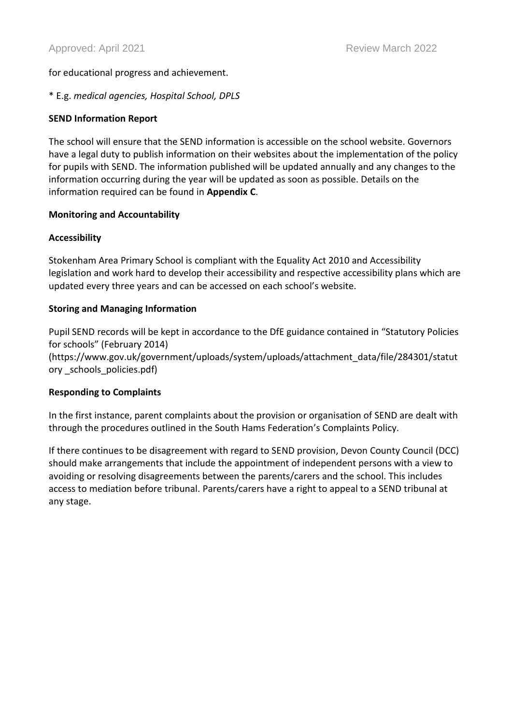for educational progress and achievement.

#### \* E.g. *medical agencies, Hospital School, DPLS*

#### **SEND Information Report**

The school will ensure that the SEND information is accessible on the school website. Governors have a legal duty to publish information on their websites about the implementation of the policy for pupils with SEND. The information published will be updated annually and any changes to the information occurring during the year will be updated as soon as possible. Details on the information required can be found in **Appendix C**.

#### **Monitoring and Accountability**

#### **Accessibility**

Stokenham Area Primary School is compliant with the Equality Act 2010 and Accessibility legislation and work hard to develop their accessibility and respective accessibility plans which are updated every three years and can be accessed on each school's website.

#### **Storing and Managing Information**

Pupil SEND records will be kept in accordance to the DfE guidance contained in "Statutory Policies for schools" (February 2014)

(https://www.gov.uk/government/uploads/system/uploads/attachment\_data/file/284301/statut ory \_schools\_policies.pdf)

#### **Responding to Complaints**

In the first instance, parent complaints about the provision or organisation of SEND are dealt with through the procedures outlined in the South Hams Federation's Complaints Policy.

If there continues to be disagreement with regard to SEND provision, Devon County Council (DCC) should make arrangements that include the appointment of independent persons with a view to avoiding or resolving disagreements between the parents/carers and the school. This includes access to mediation before tribunal. Parents/carers have a right to appeal to a SEND tribunal at any stage.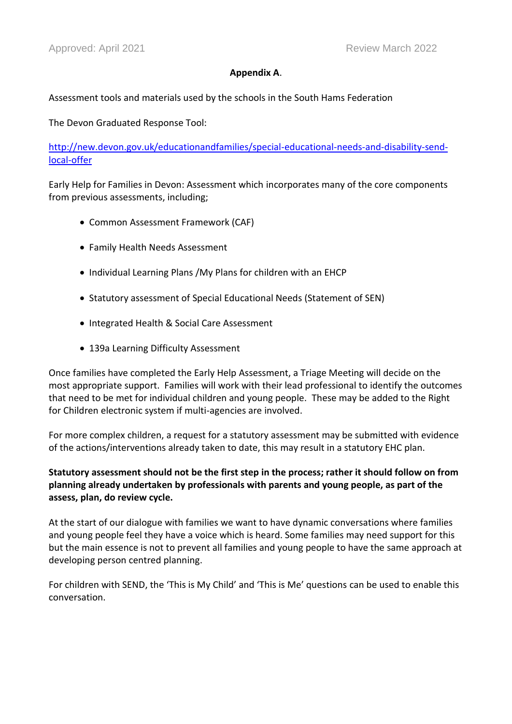#### **Appendix A**.

Assessment tools and materials used by the schools in the South Hams Federation

The Devon Graduated Response Tool:

[http://new.devon.gov.uk/educationandfamilies/special-educational-needs-and-disability-send](http://new.devon.gov.uk/educationandfamilies/special-educational-needs-and-disability-send-local-offer)[local-offer](http://new.devon.gov.uk/educationandfamilies/special-educational-needs-and-disability-send-local-offer)

Early Help for Families in Devon: Assessment which incorporates many of the core components from previous assessments, including;

- Common Assessment Framework (CAF)
- Family Health Needs Assessment
- Individual Learning Plans /My Plans for children with an EHCP
- Statutory assessment of Special Educational Needs (Statement of SEN)
- Integrated Health & Social Care Assessment
- 139a Learning Difficulty Assessment

Once families have completed the Early Help Assessment, a Triage Meeting will decide on the most appropriate support. Families will work with their lead professional to identify the outcomes that need to be met for individual children and young people. These may be added to the Right for Children electronic system if multi-agencies are involved.

For more complex children, a request for a statutory assessment may be submitted with evidence of the actions/interventions already taken to date, this may result in a statutory EHC plan.

# **Statutory assessment should not be the first step in the process; rather it should follow on from planning already undertaken by professionals with parents and young people, as part of the assess, plan, do review cycle.**

At the start of our dialogue with families we want to have dynamic conversations where families and young people feel they have a voice which is heard. Some families may need support for this but the main essence is not to prevent all families and young people to have the same approach at developing person centred planning.

For children with SEND, the 'This is My Child' and 'This is Me' questions can be used to enable this conversation.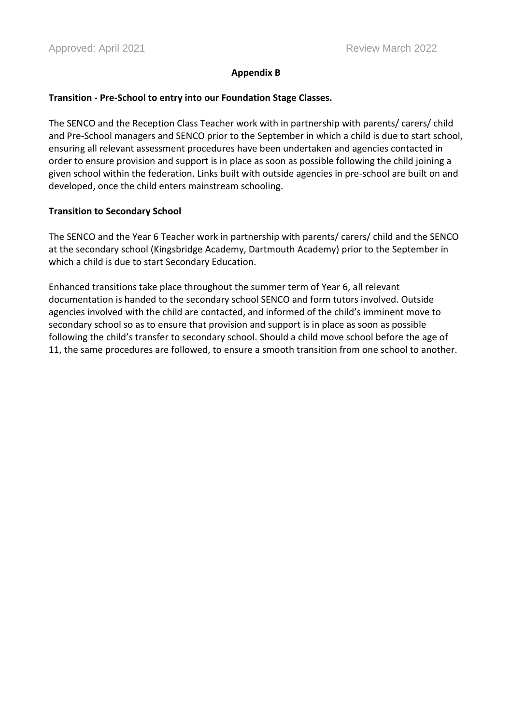#### **Appendix B**

#### **Transition - Pre-School to entry into our Foundation Stage Classes.**

The SENCO and the Reception Class Teacher work with in partnership with parents/ carers/ child and Pre-School managers and SENCO prior to the September in which a child is due to start school, ensuring all relevant assessment procedures have been undertaken and agencies contacted in order to ensure provision and support is in place as soon as possible following the child joining a given school within the federation. Links built with outside agencies in pre-school are built on and developed, once the child enters mainstream schooling.

#### **Transition to Secondary School**

The SENCO and the Year 6 Teacher work in partnership with parents/ carers/ child and the SENCO at the secondary school (Kingsbridge Academy, Dartmouth Academy) prior to the September in which a child is due to start Secondary Education.

Enhanced transitions take place throughout the summer term of Year 6, all relevant documentation is handed to the secondary school SENCO and form tutors involved. Outside agencies involved with the child are contacted, and informed of the child's imminent move to secondary school so as to ensure that provision and support is in place as soon as possible following the child's transfer to secondary school. Should a child move school before the age of 11, the same procedures are followed, to ensure a smooth transition from one school to another.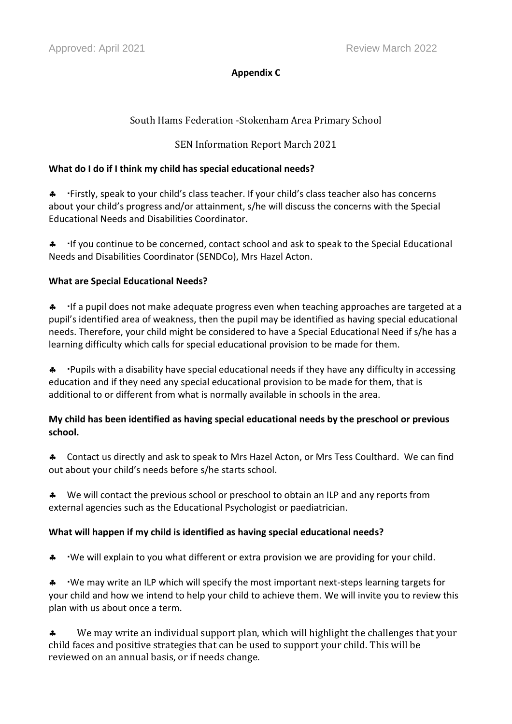# **Appendix C**

# South Hams Federation -Stokenham Area Primary School

# SEN Information Report March 2021

# **What do I do if I think my child has special educational needs?**

**\*** Firstly, speak to your child's class teacher. If your child's class teacher also has concerns about your child's progress and/or attainment, s/he will discuss the concerns with the Special Educational Needs and Disabilities Coordinator.

 If you continue to be concerned, contact school and ask to speak to the Special Educational Needs and Disabilities Coordinator (SENDCo), Mrs Hazel Acton.

# **What are Special Educational Needs?**

**4** If a pupil does not make adequate progress even when teaching approaches are targeted at a pupil's identified area of weakness, then the pupil may be identified as having special educational needs. Therefore, your child might be considered to have a Special Educational Need if s/he has a learning difficulty which calls for special educational provision to be made for them.

 Pupils with a disability have special educational needs if they have any difficulty in accessing education and if they need any special educational provision to be made for them, that is additional to or different from what is normally available in schools in the area.

# **My child has been identified as having special educational needs by the preschool or previous school.**

 Contact us directly and ask to speak to Mrs Hazel Acton, or Mrs Tess Coulthard. We can find out about your child's needs before s/he starts school.

\* We will contact the previous school or preschool to obtain an ILP and any reports from external agencies such as the Educational Psychologist or paediatrician.

# **What will happen if my child is identified as having special educational needs?**

\* We will explain to you what different or extra provision we are providing for your child.

\* We may write an ILP which will specify the most important next-steps learning targets for your child and how we intend to help your child to achieve them. We will invite you to review this plan with us about once a term.

\* We may write an individual support plan, which will highlight the challenges that your child faces and positive strategies that can be used to support your child. This will be reviewed on an annual basis, or if needs change.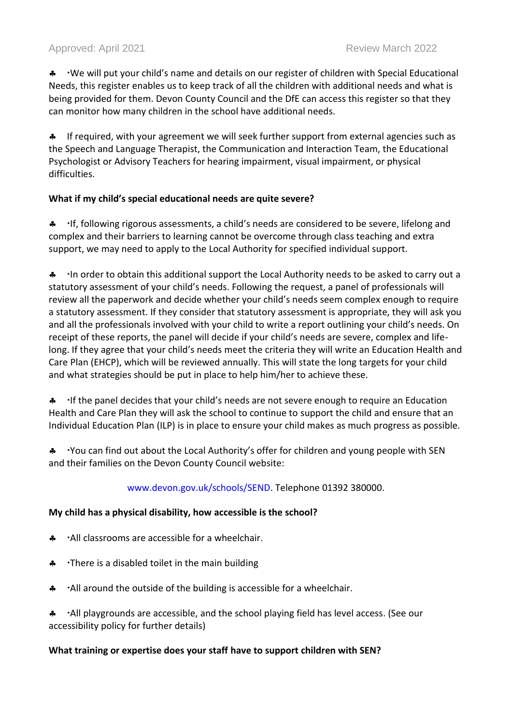\* We will put your child's name and details on our register of children with Special Educational Needs, this register enables us to keep track of all the children with additional needs and what is being provided for them. Devon County Council and the DfE can access this register so that they can monitor how many children in the school have additional needs.

**A** If required, with your agreement we will seek further support from external agencies such as the Speech and Language Therapist, the Communication and Interaction Team, the Educational Psychologist or Advisory Teachers for hearing impairment, visual impairment, or physical difficulties.

# **What if my child's special educational needs are quite severe?**

**A** If, following rigorous assessments, a child's needs are considered to be severe, lifelong and complex and their barriers to learning cannot be overcome through class teaching and extra support, we may need to apply to the Local Authority for specified individual support.

A In order to obtain this additional support the Local Authority needs to be asked to carry out a statutory assessment of your child's needs. Following the request, a panel of professionals will review all the paperwork and decide whether your child's needs seem complex enough to require a statutory assessment. If they consider that statutory assessment is appropriate, they will ask you and all the professionals involved with your child to write a report outlining your child's needs. On receipt of these reports, the panel will decide if your child's needs are severe, complex and lifelong. If they agree that your child's needs meet the criteria they will write an Education Health and Care Plan (EHCP), which will be reviewed annually. This will state the long targets for your child and what strategies should be put in place to help him/her to achieve these.

**4** If the panel decides that your child's needs are not severe enough to require an Education Health and Care Plan they will ask the school to continue to support the child and ensure that an Individual Education Plan (ILP) is in place to ensure your child makes as much progress as possible.

\* You can find out about the Local Authority's offer for children and young people with SEN and their families on the Devon County Council website:

# www.devon.gov.uk/schools/SEND. Telephone 01392 380000.

# **My child has a physical disability, how accessible is the school?**

- All classrooms are accessible for a wheelchair.
- \* There is a disabled toilet in the main building
- A call around the outside of the building is accessible for a wheelchair.

 All playgrounds are accessible, and the school playing field has level access. (See our accessibility policy for further details)

# **What training or expertise does your staff have to support children with SEN?**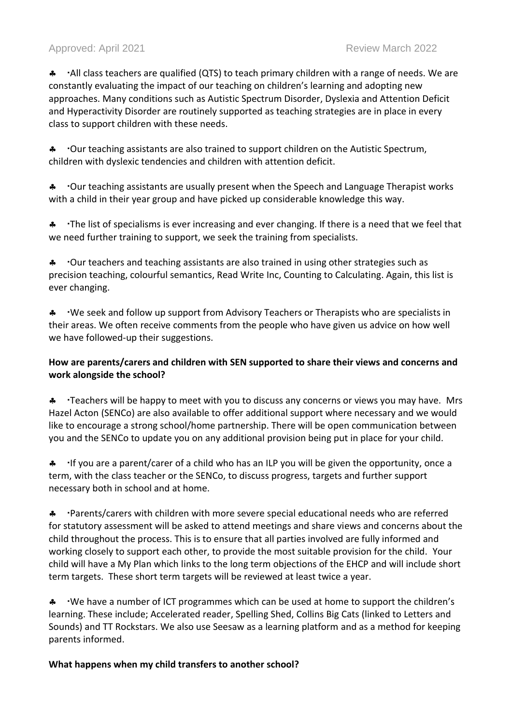# Approved: April 2021 **Review March 2022** Review March 2022

A · · All class teachers are qualified (QTS) to teach primary children with a range of needs. We are constantly evaluating the impact of our teaching on children's learning and adopting new approaches. Many conditions such as Autistic Spectrum Disorder, Dyslexia and Attention Deficit and Hyperactivity Disorder are routinely supported as teaching strategies are in place in every class to support children with these needs.

\* Our teaching assistants are also trained to support children on the Autistic Spectrum, children with dyslexic tendencies and children with attention deficit.

\* Our teaching assistants are usually present when the Speech and Language Therapist works with a child in their year group and have picked up considerable knowledge this way.

**\*** The list of specialisms is ever increasing and ever changing. If there is a need that we feel that we need further training to support, we seek the training from specialists.

\* Our teachers and teaching assistants are also trained in using other strategies such as precision teaching, colourful semantics, Read Write Inc, Counting to Calculating. Again, this list is ever changing.

\* We seek and follow up support from Advisory Teachers or Therapists who are specialists in their areas. We often receive comments from the people who have given us advice on how well we have followed-up their suggestions.

# **How are parents/carers and children with SEN supported to share their views and concerns and work alongside the school?**

**\*** Teachers will be happy to meet with you to discuss any concerns or views you may have. Mrs Hazel Acton (SENCo) are also available to offer additional support where necessary and we would like to encourage a strong school/home partnership. There will be open communication between you and the SENCo to update you on any additional provision being put in place for your child.

**\*** If you are a parent/carer of a child who has an ILP you will be given the opportunity, once a term, with the class teacher or the SENCo, to discuss progress, targets and further support necessary both in school and at home.

\* Parents/carers with children with more severe special educational needs who are referred for statutory assessment will be asked to attend meetings and share views and concerns about the child throughout the process. This is to ensure that all parties involved are fully informed and working closely to support each other, to provide the most suitable provision for the child. Your child will have a My Plan which links to the long term objections of the EHCP and will include short term targets. These short term targets will be reviewed at least twice a year.

\* We have a number of ICT programmes which can be used at home to support the children's learning. These include; Accelerated reader, Spelling Shed, Collins Big Cats (linked to Letters and Sounds) and TT Rockstars. We also use Seesaw as a learning platform and as a method for keeping parents informed.

#### **What happens when my child transfers to another school?**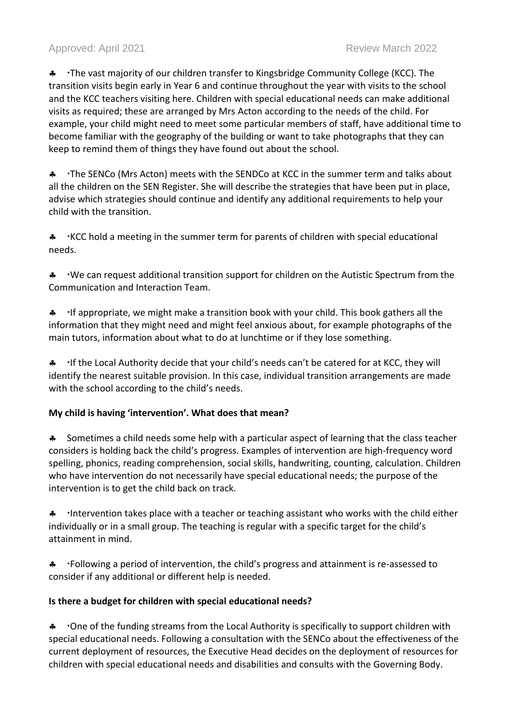# Approved: April 2021 **Review March 2022** Review March 2022

**\*** The vast majority of our children transfer to Kingsbridge Community College (KCC). The transition visits begin early in Year 6 and continue throughout the year with visits to the school and the KCC teachers visiting here. Children with special educational needs can make additional visits as required; these are arranged by Mrs Acton according to the needs of the child. For example, your child might need to meet some particular members of staff, have additional time to become familiar with the geography of the building or want to take photographs that they can keep to remind them of things they have found out about the school.

**\*** The SENCo (Mrs Acton) meets with the SENDCo at KCC in the summer term and talks about all the children on the SEN Register. She will describe the strategies that have been put in place, advise which strategies should continue and identify any additional requirements to help your child with the transition.

\* KCC hold a meeting in the summer term for parents of children with special educational needs.

**\*** We can request additional transition support for children on the Autistic Spectrum from the Communication and Interaction Team.

**4** If appropriate, we might make a transition book with your child. This book gathers all the information that they might need and might feel anxious about, for example photographs of the main tutors, information about what to do at lunchtime or if they lose something.

 If the Local Authority decide that your child's needs can't be catered for at KCC, they will identify the nearest suitable provision. In this case, individual transition arrangements are made with the school according to the child's needs.

#### **My child is having 'intervention'. What does that mean?**

**\*** Sometimes a child needs some help with a particular aspect of learning that the class teacher considers is holding back the child's progress. Examples of intervention are high-frequency word spelling, phonics, reading comprehension, social skills, handwriting, counting, calculation. Children who have intervention do not necessarily have special educational needs; the purpose of the intervention is to get the child back on track.

A Intervention takes place with a teacher or teaching assistant who works with the child either individually or in a small group. The teaching is regular with a specific target for the child's attainment in mind.

**\*** Following a period of intervention, the child's progress and attainment is re-assessed to consider if any additional or different help is needed.

#### **Is there a budget for children with special educational needs?**

**\*** One of the funding streams from the Local Authority is specifically to support children with special educational needs. Following a consultation with the SENCo about the effectiveness of the current deployment of resources, the Executive Head decides on the deployment of resources for children with special educational needs and disabilities and consults with the Governing Body.